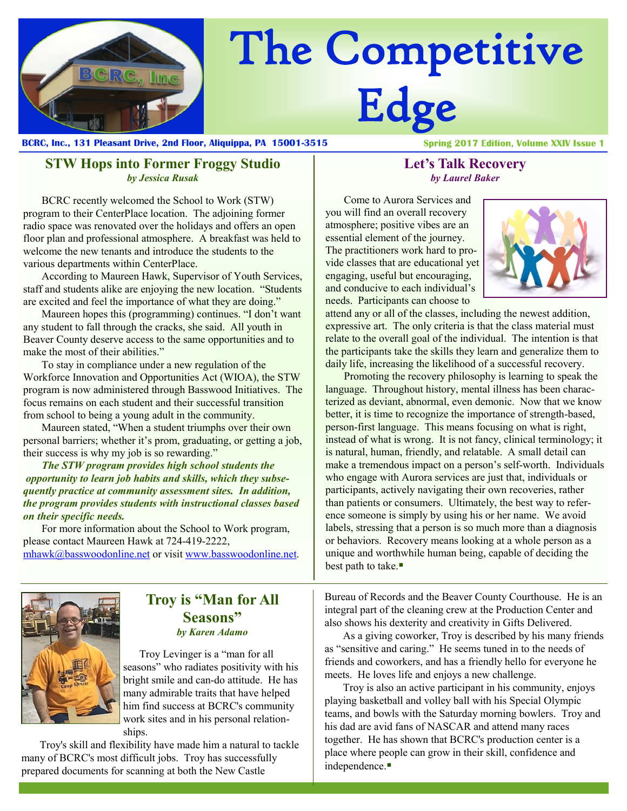

# The Competitive Edge

**BCRC, Inc., 131 Pleasant Drive, 2nd Floor, Aliquippa, PA 15001-3515**

**Spring 2017 Edition, Volume XXIV Issue 1** 

#### **STW Hops into Former Froggy Studio** *by Jessica Rusak*

BCRC recently welcomed the School to Work (STW) program to their CenterPlace location. The adjoining former radio space was renovated over the holidays and offers an open floor plan and professional atmosphere.A breakfast was held to welcome the new tenants and introduce the students to the various departments within CenterPlace.

According to Maureen Hawk, Supervisor of Youth Services, staff and students alike are enjoying the new location. "Students are excited and feel the importance of what they are doing."

Maureen hopes this (programming) continues. "I don't want any student to fall through the cracks, she said. All youth in Beaver County deserve access to the same opportunities and to make the most of their abilities."

To stay in compliance under a new regulation of the Workforce Innovation and Opportunities Act (WIOA), the STW program is now administered through Basswood Initiatives. The focus remains on each student and their successful transition from school to being a young adult in the community.

Maureen stated, "When a student triumphs over their own personal barriers; whether it's prom, graduating, or getting a job, their success is why my job is so rewarding."

*The STW program provides high school students the opportunity to learn job habits and skills, which they subsequently practice at community assessment sites. In addition, the program provides students with instructional classes based on their specific needs.*

For more information about the School to Work program, please contact Maureen Hawk at 724-419-2222,

[mhawk@basswoodonline.net](mailto:mhawk@basswoodonline.net) or visit [www.basswoodonline.net.](http://www.basswoodonline.net)

## **Troy is "Man for All Seasons"** *by Karen Adamo*

 Troy Levinger is a "man for all seasons" who radiates positivity with his bright smile and can-do attitude. He has many admirable traits that have helped him find success at BCRC's community work sites and in his personal relationships.

Troy's skill and flexibility have made him a natural to tackle many of BCRC's most difficult jobs. Troy has successfully prepared documents for scanning at both the New Castle

#### **Let's Talk Recovery** *by Laurel Baker*

Come to Aurora Services and you will find an overall recovery atmosphere; positive vibes are an essential element of the journey. The practitioners work hard to provide classes that are educational yet engaging, useful but encouraging, and conducive to each individual's needs. Participants can choose to



attend any or all of the classes, including the newest addition, expressive art. The only criteria is that the class material must relate to the overall goal of the individual. The intention is that the participants take the skills they learn and generalize them to daily life, increasing the likelihood of a successful recovery.

Promoting the recovery philosophy is learning to speak the language. Throughout history, mental illness has been characterized as deviant, abnormal, even demonic. Now that we know better, it is time to recognize the importance of strength-based, person-first language. This means focusing on what is right, instead of what is wrong. It is not fancy, clinical terminology; it is natural, human, friendly, and relatable. A small detail can make a tremendous impact on a person's self-worth. Individuals who engage with Aurora services are just that, individuals or participants, actively navigating their own recoveries, rather than patients or consumers. Ultimately, the best way to reference someone is simply by using his or her name. We avoid labels, stressing that a person is so much more than a diagnosis or behaviors. Recovery means looking at a whole person as a unique and worthwhile human being, capable of deciding the best path to take.

Bureau of Records and the Beaver County Courthouse. He is an integral part of the cleaning crew at the Production Center and also shows his dexterity and creativity in Gifts Delivered.

As a giving coworker, Troy is described by his many friends as "sensitive and caring." He seems tuned in to the needs of friends and coworkers, and has a friendly hello for everyone he meets. He loves life and enjoys a new challenge.

Troy is also an active participant in his community, enjoys playing basketball and volley ball with his Special Olympic teams, and bowls with the Saturday morning bowlers. Troy and his dad are avid fans of NASCAR and attend many races together. He has shown that BCRC's production center is a place where people can grow in their skill, confidence and independence.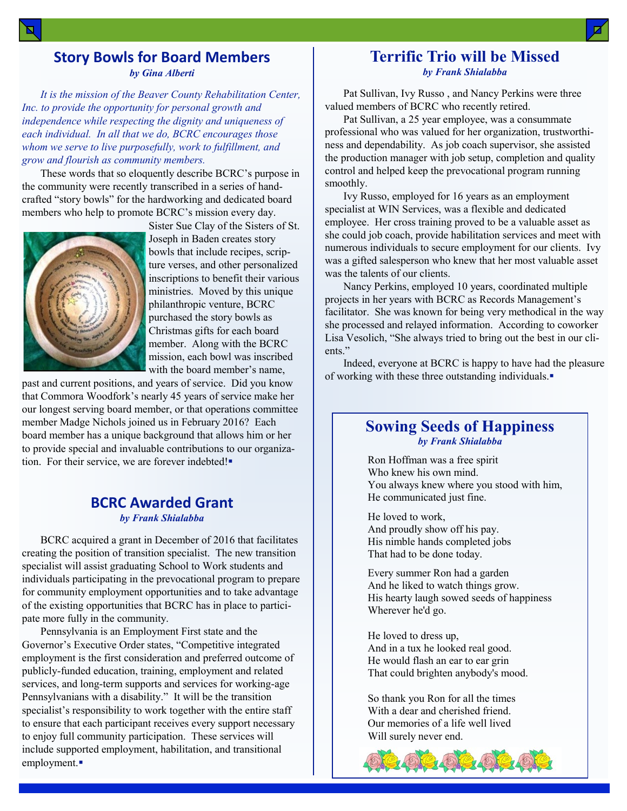### **Story Bowls for Board Members** *by Gina Alberti*

*It is the mission of the Beaver County Rehabilitation Center, Inc. to provide the opportunity for personal growth and independence while respecting the dignity and uniqueness of each individual. In all that we do, BCRC encourages those whom we serve to live purposefully, work to fulfillment, and grow and flourish as community members.*

These words that so eloquently describe BCRC's purpose in the community were recently transcribed in a series of handcrafted "story bowls" for the hardworking and dedicated board members who help to promote BCRC's mission every day.



Sister Sue Clay of the Sisters of St. Joseph in Baden creates story bowls that include recipes, scripture verses, and other personalized inscriptions to benefit their various ministries. Moved by this unique philanthropic venture, BCRC purchased the story bowls as Christmas gifts for each board member. Along with the BCRC mission, each bowl was inscribed with the board member's name,

past and current positions, and years of service. Did you know that Commora Woodfork's nearly 45 years of service make her our longest serving board member, or that operations committee member Madge Nichols joined us in February 2016? Each board member has a unique background that allows him or her to provide special and invaluable contributions to our organization. For their service, we are forever indebted!

#### **BCRC Awarded Grant** *by Frank Shialabba*

BCRC acquired a grant in December of 2016 that facilitates creating the position of transition specialist. The new transition specialist will assist graduating School to Work students and individuals participating in the prevocational program to prepare for community employment opportunities and to take advantage of the existing opportunities that BCRC has in place to participate more fully in the community.

Pennsylvania is an Employment First state and the Governor's Executive Order states, "Competitive integrated employment is the first consideration and preferred outcome of publicly-funded education, training, employment and related services, and long-term supports and services for working-age Pennsylvanians with a disability." It will be the transition specialist's responsibility to work together with the entire staff to ensure that each participant receives every support necessary to enjoy full community participation. These services will include supported employment, habilitation, and transitional employment.

#### **Terrific Trio will be Missed** *by Frank Shialabba*

Pat Sullivan, Ivy Russo , and Nancy Perkins were three valued members of BCRC who recently retired.

Pat Sullivan, a 25 year employee, was a consummate professional who was valued for her organization, trustworthiness and dependability. As job coach supervisor, she assisted the production manager with job setup, completion and quality control and helped keep the prevocational program running smoothly.

Ivy Russo, employed for 16 years as an employment specialist at WIN Services, was a flexible and dedicated employee. Her cross training proved to be a valuable asset as she could job coach, provide habilitation services and meet with numerous individuals to secure employment for our clients. Ivy was a gifted salesperson who knew that her most valuable asset was the talents of our clients.

Nancy Perkins, employed 10 years, coordinated multiple projects in her years with BCRC as Records Management's facilitator. She was known for being very methodical in the way she processed and relayed information. According to coworker Lisa Vesolich, "She always tried to bring out the best in our clients."

Indeed, everyone at BCRC is happy to have had the pleasure of working with these three outstanding individuals.

#### **Sowing Seeds of Happiness** *by Frank Shialabba*

Ron Hoffman was a free spirit Who knew his own mind. You always knew where you stood with him, He communicated just fine.

He loved to work, And proudly show off his pay. His nimble hands completed jobs That had to be done today.

Every summer Ron had a garden And he liked to watch things grow. His hearty laugh sowed seeds of happiness Wherever he'd go.

He loved to dress up, And in a tux he looked real good. He would flash an ear to ear grin That could brighten anybody's mood.

So thank you Ron for all the times With a dear and cherished friend. Our memories of a life well lived Will surely never end.

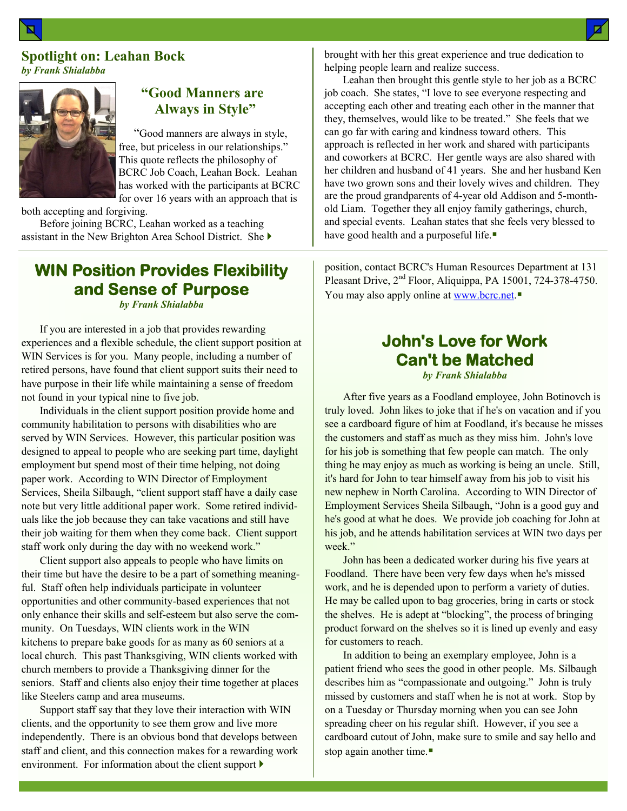#### **Spotlight on: Leahan Bock** *by Frank Shialabba*



## **"Good Manners are Always in Style"**

 "Good manners are always in style, free, but priceless in our relationships." This quote reflects the philosophy of BCRC Job Coach, Leahan Bock. Leahan has worked with the participants at BCRC for over 16 years with an approach that is

both accepting and forgiving.

Before joining BCRC, Leahan worked as a teaching assistant in the New Brighton Area School District. She

# **WIN Position Provides Flexibility and Sense of Purpose**

*by Frank Shialabba*

If you are interested in a job that provides rewarding experiences and a flexible schedule, the client support position at WIN Services is for you. Many people, including a number of retired persons, have found that client support suits their need to have purpose in their life while maintaining a sense of freedom not found in your typical nine to five job.

Individuals in the client support position provide home and community habilitation to persons with disabilities who are served by WIN Services. However, this particular position was designed to appeal to people who are seeking part time, daylight employment but spend most of their time helping, not doing paper work. According to WIN Director of Employment Services, Sheila Silbaugh, "client support staff have a daily case note but very little additional paper work. Some retired individuals like the job because they can take vacations and still have their job waiting for them when they come back. Client support staff work only during the day with no weekend work."

Client support also appeals to people who have limits on their time but have the desire to be a part of something meaningful. Staff often help individuals participate in volunteer opportunities and other community-based experiences that not only enhance their skills and self-esteem but also serve the community. On Tuesdays, WIN clients work in the WIN kitchens to prepare bake goods for as many as 60 seniors at a local church. This past Thanksgiving, WIN clients worked with church members to provide a Thanksgiving dinner for the seniors. Staff and clients also enjoy their time together at places like Steelers camp and area museums.

Support staff say that they love their interaction with WIN clients, and the opportunity to see them grow and live more independently. There is an obvious bond that develops between staff and client, and this connection makes for a rewarding work environment. For information about the client support  $\blacktriangleright$ 

brought with her this great experience and true dedication to helping people learn and realize success.

Leahan then brought this gentle style to her job as a BCRC job coach. She states, "I love to see everyone respecting and accepting each other and treating each other in the manner that they, themselves, would like to be treated." She feels that we can go far with caring and kindness toward others. This approach is reflected in her work and shared with participants and coworkers at BCRC. Her gentle ways are also shared with her children and husband of 41 years. She and her husband Ken have two grown sons and their lovely wives and children. They are the proud grandparents of 4-year old Addison and 5-monthold Liam. Together they all enjoy family gatherings, church, and special events. Leahan states that she feels very blessed to have good health and a purposeful life.

position, contact BCRC's Human Resources Department at 131 Pleasant Drive, 2<sup>nd</sup> Floor, Aliquippa, PA 15001, 724-378-4750. You may also apply online at [www.bcrc.net.](http://www.bcrc.net)

# **John's Love for Work Can't be Matched**

*by Frank Shialabba*

After five years as a Foodland employee, John Botinovch is truly loved. John likes to joke that if he's on vacation and if you see a cardboard figure of him at Foodland, it's because he misses the customers and staff as much as they miss him. John's love for his job is something that few people can match. The only thing he may enjoy as much as working is being an uncle. Still, it's hard for John to tear himself away from his job to visit his new nephew in North Carolina. According to WIN Director of Employment Services Sheila Silbaugh, "John is a good guy and he's good at what he does. We provide job coaching for John at his job, and he attends habilitation services at WIN two days per week."

John has been a dedicated worker during his five years at Foodland. There have been very few days when he's missed work, and he is depended upon to perform a variety of duties. He may be called upon to bag groceries, bring in carts or stock the shelves. He is adept at "blocking", the process of bringing product forward on the shelves so it is lined up evenly and easy for customers to reach.

In addition to being an exemplary employee, John is a patient friend who sees the good in other people. Ms. Silbaugh describes him as "compassionate and outgoing." John is truly missed by customers and staff when he is not at work. Stop by on a Tuesday or Thursday morning when you can see John spreading cheer on his regular shift. However, if you see a cardboard cutout of John, make sure to smile and say hello and stop again another time.